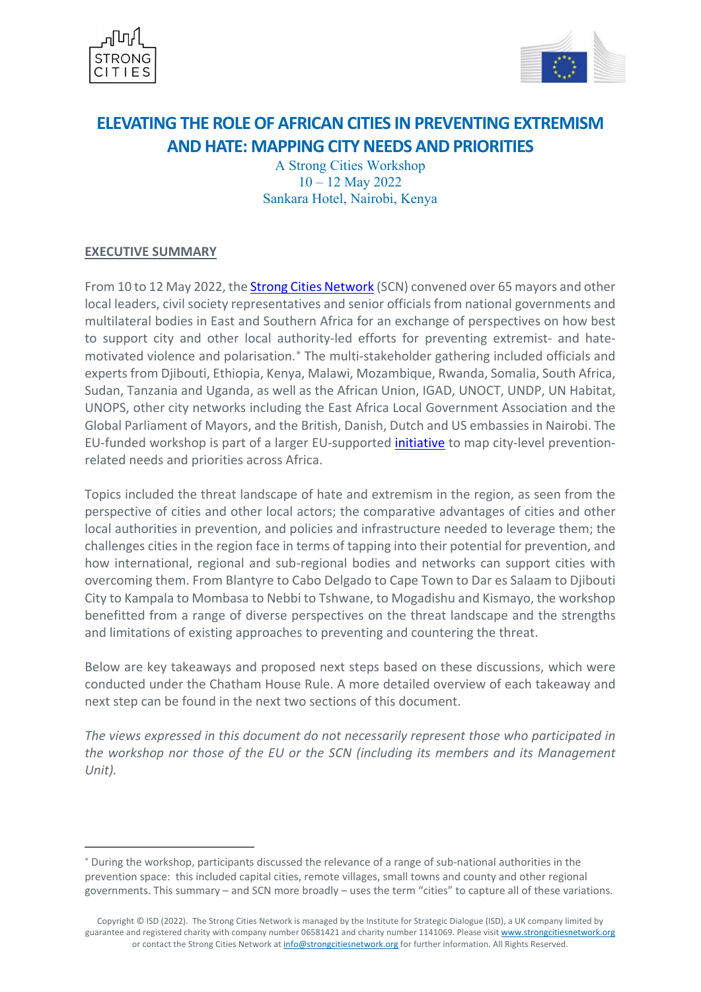



# **ELEVATING THE ROLE OF AFRICAN CITIES IN PREVENTING EXTREMISM AND HATE: MAPPING CITY NEEDS AND PRIORITIES**

A Strong Cities Workshop 10 – 12 May 2022 Sankara Hotel, Nairobi, Kenya

# **EXECUTIVE SUMMARY**

1

From 10 to 12 May 2022, th[e Strong Cities Network](http://www.strongcitiesnetwork.org/en) (SCN) convened over 65 mayors and other local leaders, civil society representatives and senior officials from national governments and multilateral bodies in East and Southern Africa for an exchange of perspectives on how best to support city and other local authority-led efforts for preventing extremist- and hatemotivated violence and polarisation.<sup>\*</sup> The multi-stakeholder gathering included officials and experts from Djibouti, Ethiopia, Kenya, Malawi, Mozambique, Rwanda, Somalia, South Africa, Sudan, Tanzania and Uganda, as well as the African Union, IGAD, UNOCT, UNDP, UN Habitat, UNOPS, other city networks including the East Africa Local Government Association and the Global Parliament of Mayors, and the British, Danish, Dutch and US embassies in Nairobi. The EU-funded workshop is part of a larger EU-supported [initiative](https://strongcitiesnetwork.org/en/project-launch-mapping-city-level-p-cve-needs-and-priorities-across-the-african-continent/) to map city-level preventionrelated needs and priorities across Africa.

Topics included the threat landscape of hate and extremism in the region, as seen from the perspective of cities and other local actors; the comparative advantages of cities and other local authorities in prevention, and policies and infrastructure needed to leverage them; the challenges cities in the region face in terms of tapping into their potential for prevention, and how international, regional and sub-regional bodies and networks can support cities with overcoming them. From Blantyre to Cabo Delgado to Cape Town to Dar es Salaam to Djibouti City to Kampala to Mombasa to Nebbi to Tshwane, to Mogadishu and Kismayo, the workshop benefitted from a range of diverse perspectives on the threat landscape and the strengths and limitations of existing approaches to preventing and countering the threat.

Below are key takeaways and proposed next steps based on these discussions, which were conducted under the Chatham House Rule. A more detailed overview of each takeaway and next step can be found in the next two sections of this document.

*The views expressed in this document do not necessarily represent those who participated in the workshop nor those of the EU or the SCN (including its members and its Management Unit).*

<span id="page-0-0"></span><sup>∗</sup> During the workshop, participants discussed the relevance of a range of sub-national authorities in the prevention space: this included capital cities, remote villages, small towns and county and other regional governments. This summary – and SCN more broadly – uses the term "cities" to capture all of these variations.

Copyright © ISD (2022). The Strong Cities Network is managed by the Institute for Strategic Dialogue (ISD), a UK company limited by guarantee and registered charity with company number 06581421 and charity number 1141069. Please visit [www.strongcitiesnetwork.org](https://eur01.safelinks.protection.outlook.com/?url=http%3A%2F%2Fwww.strongcitiesnetwork.org%2F&data=04%7C01%7Cjdo%40isdglobal.org%7Cca25631f8af343ed057708d92500c590%7Cf36389371ae449f18edd1f7fe64337ad%7C1%7C0%7C637581507499341961%7CUnknown%7CTWFpbGZsb3d8eyJWIjoiMC4wLjAwMDAiLCJQIjoiV2luMzIiLCJBTiI6Ik1haWwiLCJXVCI6Mn0%3D%7C1000&sdata=XRbyl440uJ6T0ivfdesS09osXGCjtzAe%2FUhVUll6xwM%3D&reserved=0) or contact the Strong Cities Network a[t info@strongcitiesnetwork.org](mailto:info@strongcitiesnetwork.org) for further information. All Rights Reserved.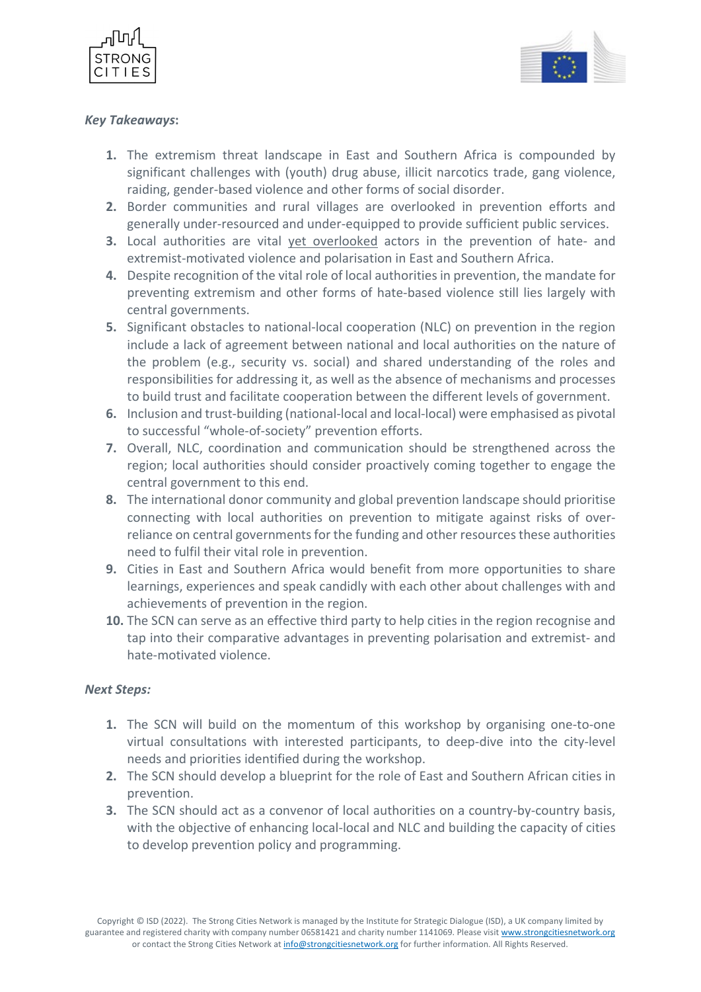



# *Key Takeaways***:**

- **1.** The extremism threat landscape in East and Southern Africa is compounded by significant challenges with (youth) drug abuse, illicit narcotics trade, gang violence, raiding, gender-based violence and other forms of social disorder.
- **2.** Border communities and rural villages are overlooked in prevention efforts and generally under-resourced and under-equipped to provide sufficient public services.
- **3.** Local authorities are vital yet overlooked actors in the prevention of hate- and extremist-motivated violence and polarisation in East and Southern Africa.
- **4.** Despite recognition of the vital role of local authorities in prevention, the mandate for preventing extremism and other forms of hate-based violence still lies largely with central governments.
- **5.** Significant obstacles to national-local cooperation (NLC) on prevention in the region include a lack of agreement between national and local authorities on the nature of the problem (e.g., security vs. social) and shared understanding of the roles and responsibilities for addressing it, as well as the absence of mechanisms and processes to build trust and facilitate cooperation between the different levels of government.
- **6.** Inclusion and trust-building (national-local and local-local) were emphasised as pivotal to successful "whole-of-society" prevention efforts.
- **7.** Overall, NLC, coordination and communication should be strengthened across the region; local authorities should consider proactively coming together to engage the central government to this end.
- **8.** The international donor community and global prevention landscape should prioritise connecting with local authorities on prevention to mitigate against risks of overreliance on central governments for the funding and other resources these authorities need to fulfil their vital role in prevention.
- **9.** Cities in East and Southern Africa would benefit from more opportunities to share learnings, experiences and speak candidly with each other about challenges with and achievements of prevention in the region.
- **10.** The SCN can serve as an effective third party to help cities in the region recognise and tap into their comparative advantages in preventing polarisation and extremist- and hate-motivated violence.

### *Next Steps:*

- **1.** The SCN will build on the momentum of this workshop by organising one-to-one virtual consultations with interested participants, to deep-dive into the city-level needs and priorities identified during the workshop.
- **2.** The SCN should develop a blueprint for the role of East and Southern African cities in prevention.
- **3.** The SCN should act as a convenor of local authorities on a country-by-country basis, with the objective of enhancing local-local and NLC and building the capacity of cities to develop prevention policy and programming.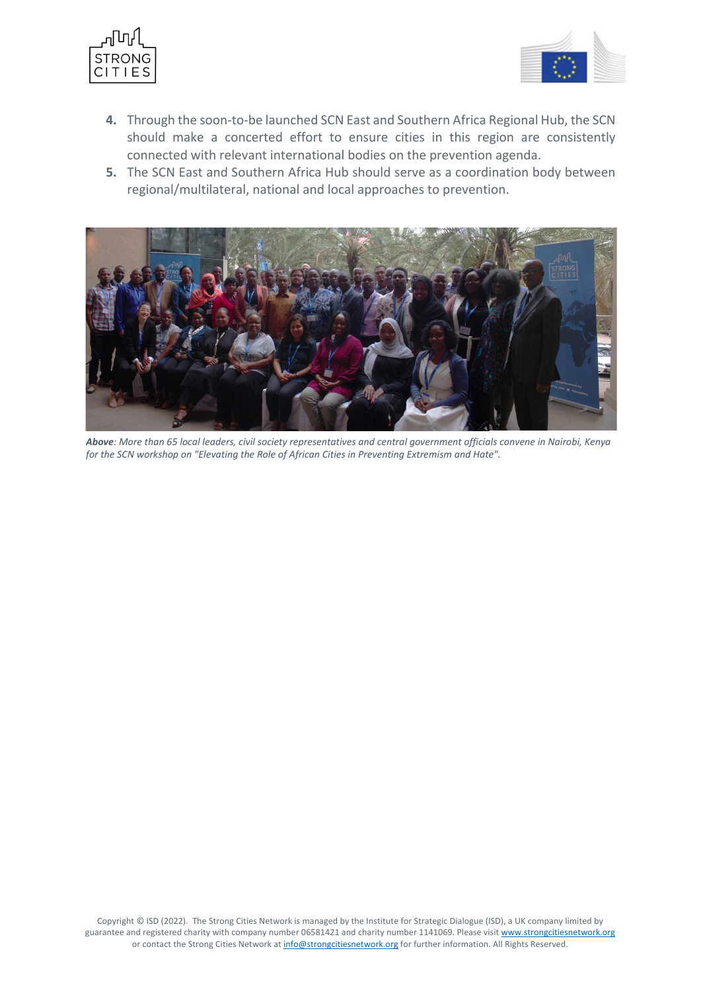



- **4.** Through the soon-to-be launched SCN East and Southern Africa Regional Hub, the SCN should make a concerted effort to ensure cities in this region are consistently connected with relevant international bodies on the prevention agenda.
- **5.** The SCN East and Southern Africa Hub should serve as a coordination body between regional/multilateral, national and local approaches to prevention.



*Above: More than 65 local leaders, civil society representatives and central government officials convene in Nairobi, Kenya for the SCN workshop on "Elevating the Role of African Cities in Preventing Extremism and Hate".*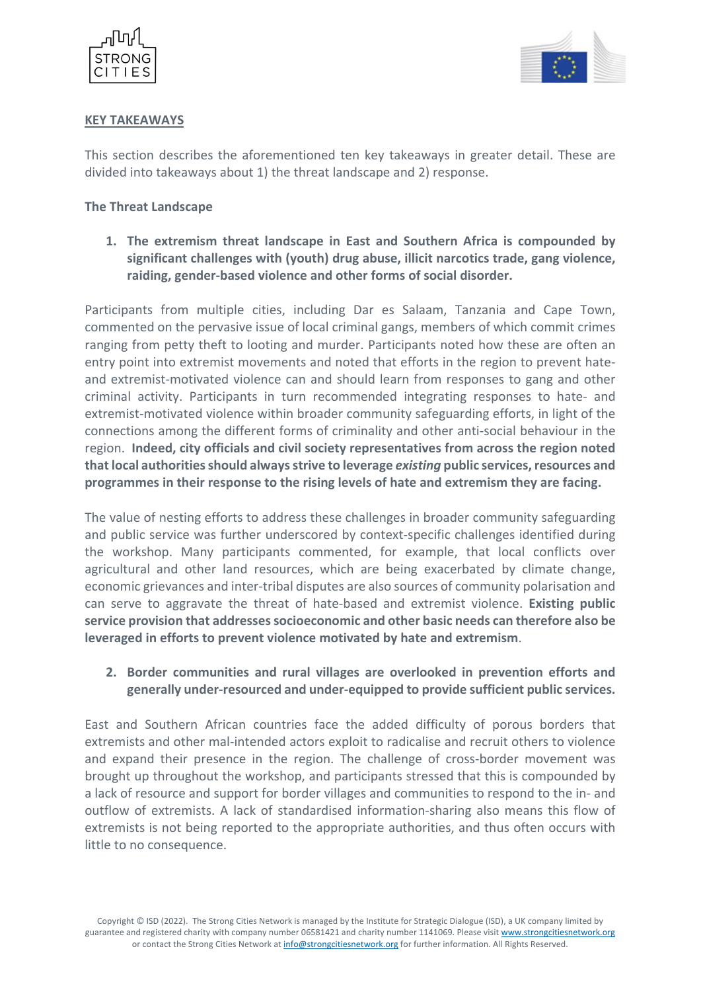



# **KEY TAKEAWAYS**

This section describes the aforementioned ten key takeaways in greater detail. These are divided into takeaways about 1) the threat landscape and 2) response.

## **The Threat Landscape**

**1. The extremism threat landscape in East and Southern Africa is compounded by significant challenges with (youth) drug abuse, illicit narcotics trade, gang violence, raiding, gender-based violence and other forms of social disorder.** 

Participants from multiple cities, including Dar es Salaam, Tanzania and Cape Town, commented on the pervasive issue of local criminal gangs, members of which commit crimes ranging from petty theft to looting and murder. Participants noted how these are often an entry point into extremist movements and noted that efforts in the region to prevent hateand extremist-motivated violence can and should learn from responses to gang and other criminal activity. Participants in turn recommended integrating responses to hate- and extremist-motivated violence within broader community safeguarding efforts, in light of the connections among the different forms of criminality and other anti-social behaviour in the region. **Indeed, city officials and civil society representatives from across the region noted that local authoritiesshould always strive to leverage** *existing* **public services, resources and programmes in their response to the rising levels of hate and extremism they are facing.** 

The value of nesting efforts to address these challenges in broader community safeguarding and public service was further underscored by context-specific challenges identified during the workshop. Many participants commented, for example, that local conflicts over agricultural and other land resources, which are being exacerbated by climate change, economic grievances and inter-tribal disputes are also sources of community polarisation and can serve to aggravate the threat of hate-based and extremist violence. **Existing public service provision that addresses socioeconomic and other basic needs can therefore also be leveraged in efforts to prevent violence motivated by hate and extremism**.

# **2. Border communities and rural villages are overlooked in prevention efforts and generally under-resourced and under-equipped to provide sufficient public services.**

East and Southern African countries face the added difficulty of porous borders that extremists and other mal-intended actors exploit to radicalise and recruit others to violence and expand their presence in the region. The challenge of cross-border movement was brought up throughout the workshop, and participants stressed that this is compounded by a lack of resource and support for border villages and communities to respond to the in- and outflow of extremists. A lack of standardised information-sharing also means this flow of extremists is not being reported to the appropriate authorities, and thus often occurs with little to no consequence.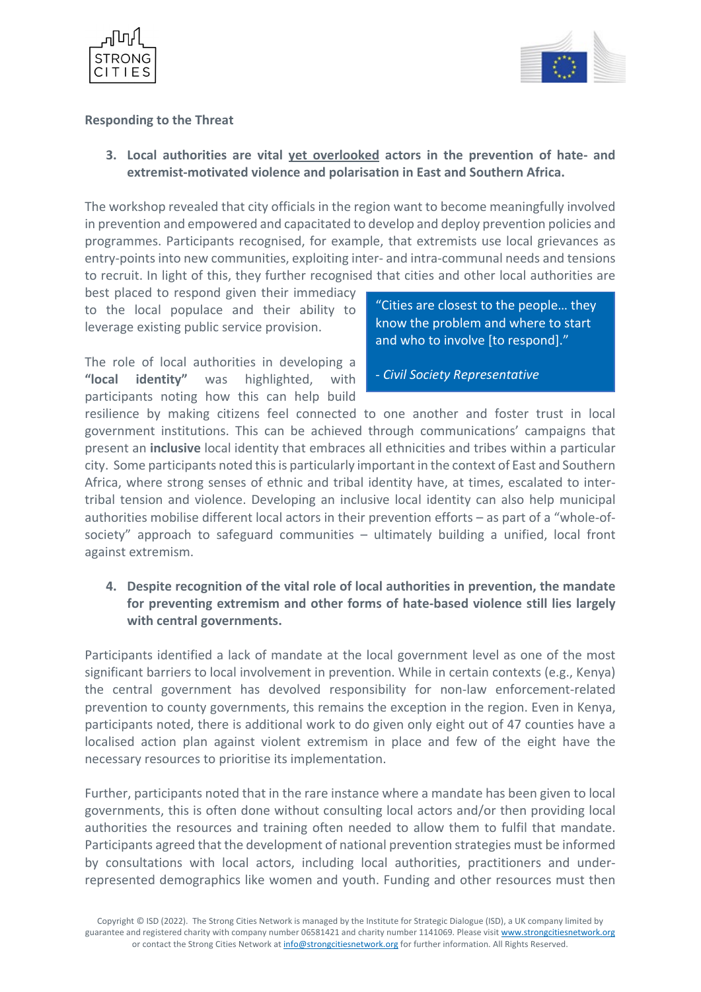



## **Responding to the Threat**

**3. Local authorities are vital yet overlooked actors in the prevention of hate- and extremist-motivated violence and polarisation in East and Southern Africa.**

The workshop revealed that city officials in the region want to become meaningfully involved in prevention and empowered and capacitated to develop and deploy prevention policies and programmes. Participants recognised, for example, that extremists use local grievances as entry-points into new communities, exploiting inter- and intra-communal needs and tensions to recruit. In light of this, they further recognised that cities and other local authorities are

best placed to respond given their immediacy to the local populace and their ability to leverage existing public service provision.

The role of local authorities in developing a **"local identity"** was highlighted, with participants noting how this can help build "Cities are closest to the people… they know the problem and where to start and who to involve [to respond]."

- *Civil Society Representative*

resilience by making citizens feel connected to one another and foster trust in local government institutions. This can be achieved through communications' campaigns that present an **inclusive** local identity that embraces all ethnicities and tribes within a particular city. Some participants noted this is particularly important in the context of East and Southern Africa, where strong senses of ethnic and tribal identity have, at times, escalated to intertribal tension and violence. Developing an inclusive local identity can also help municipal authorities mobilise different local actors in their prevention efforts – as part of a "whole-ofsociety" approach to safeguard communities – ultimately building a unified, local front against extremism.

**4. Despite recognition of the vital role of local authorities in prevention, the mandate for preventing extremism and other forms of hate-based violence still lies largely with central governments.** 

Participants identified a lack of mandate at the local government level as one of the most significant barriers to local involvement in prevention. While in certain contexts (e.g., Kenya) the central government has devolved responsibility for non-law enforcement-related prevention to county governments, this remains the exception in the region. Even in Kenya, participants noted, there is additional work to do given only eight out of 47 counties have a localised action plan against violent extremism in place and few of the eight have the necessary resources to prioritise its implementation.

Further, participants noted that in the rare instance where a mandate has been given to local governments, this is often done without consulting local actors and/or then providing local authorities the resources and training often needed to allow them to fulfil that mandate. Participants agreed that the development of national prevention strategies must be informed by consultations with local actors, including local authorities, practitioners and underrepresented demographics like women and youth. Funding and other resources must then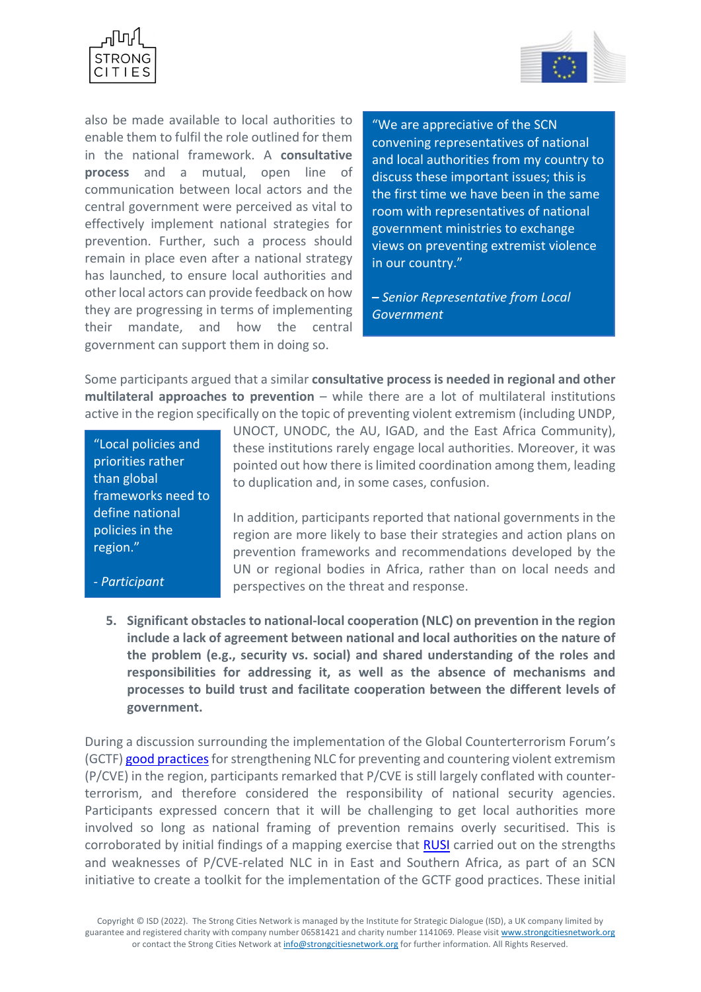



also be made available to local authorities to enable them to fulfil the role outlined for them in the national framework. A **consultative process** and a mutual, open line of communication between local actors and the central government were perceived as vital to effectively implement national strategies for prevention. Further, such a process should remain in place even after a national strategy has launched, to ensure local authorities and other local actors can provide feedback on how they are progressing in terms of implementing their mandate, and how the central government can support them in doing so.

"We are appreciative of the SCN convening representatives of national and local authorities from my country to discuss these important issues; this is the first time we have been in the same room with representatives of national government ministries to exchange views on preventing extremist violence in our country."

**–** *Senior Representative from Local Government*

Some participants argued that a similar **consultative process is needed in regional and other multilateral approaches to prevention** – while there are a lot of multilateral institutions active in the region specifically on the topic of preventing violent extremism (including UNDP,

"Local policies and priorities rather than global frameworks need to define national policies in the region."

- *Participant*

UNOCT, UNODC, the AU, IGAD, and the East Africa Community), these institutions rarely engage local authorities. Moreover, it was pointed out how there is limited coordination among them, leading to duplication and, in some cases, confusion.

In addition, participants reported that national governments in the region are more likely to base their strategies and action plans on prevention frameworks and recommendations developed by the UN or regional bodies in Africa, rather than on local needs and perspectives on the threat and response.

**5. Significant obstacles to national-local cooperation (NLC) on prevention in the region include a lack of agreement between national and local authorities on the nature of the problem (e.g., security vs. social) and shared understanding of the roles and responsibilities for addressing it, as well as the absence of mechanisms and processes to build trust and facilitate cooperation between the different levels of government.** 

During a discussion surrounding the implementation of the Global Counterterrorism Forum's (GCTF) good practices for strengthening NLC for preventing and countering violent extremism (P/CVE) in the region, participants remarked that P/CVE is still largely conflated with counterterrorism, and therefore considered the responsibility of national security agencies. Participants expressed concern that it will be challenging to get local authorities more involved so long as national framing of prevention remains overly securitised. This is corroborated by initial findings of a mapping exercise that [RUSI](http://www.rusi.org/) carried out on the strengths and weaknesses of P/CVE-related NLC in in East and Southern Africa, as part of an SCN initiative to create a toolkit for the implementation of the GCTF good practices. These initial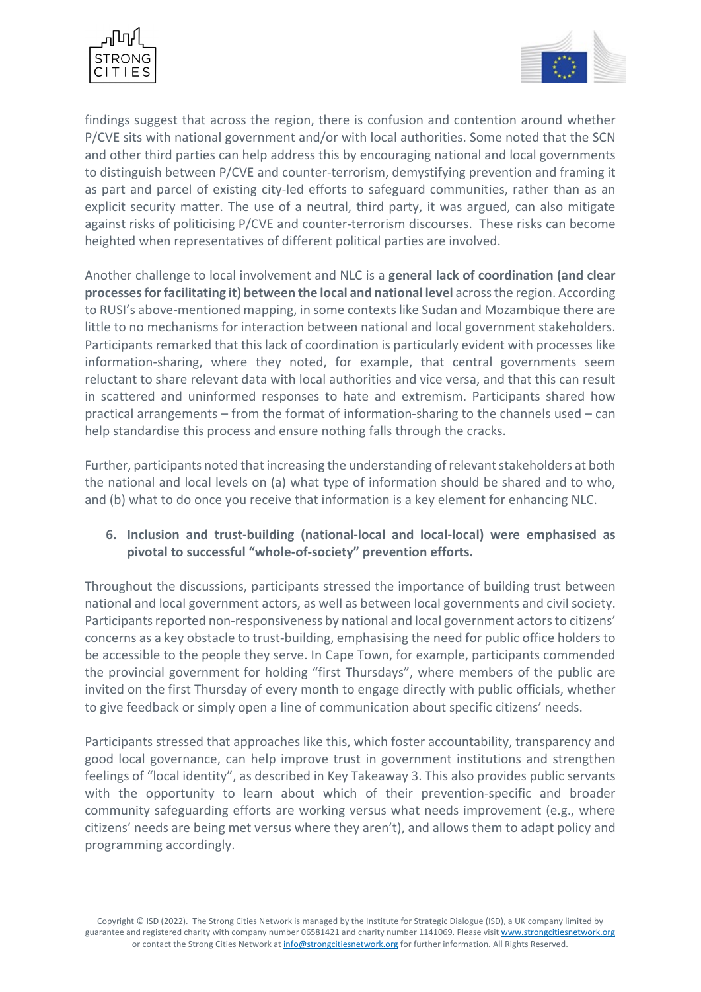



findings suggest that across the region, there is confusion and contention around whether P/CVE sits with national government and/or with local authorities. Some noted that the SCN and other third parties can help address this by encouraging national and local governments to distinguish between P/CVE and counter-terrorism, demystifying prevention and framing it as part and parcel of existing city-led efforts to safeguard communities, rather than as an explicit security matter. The use of a neutral, third party, it was argued, can also mitigate against risks of politicising P/CVE and counter-terrorism discourses. These risks can become heighted when representatives of different political parties are involved.

Another challenge to local involvement and NLC is a **general lack of coordination (and clear processesfor facilitating it) between the local and national level** across the region. According to RUSI's above-mentioned mapping, in some contexts like Sudan and Mozambique there are little to no mechanisms for interaction between national and local government stakeholders. Participants remarked that this lack of coordination is particularly evident with processes like information-sharing, where they noted, for example, that central governments seem reluctant to share relevant data with local authorities and vice versa, and that this can result in scattered and uninformed responses to hate and extremism. Participants shared how practical arrangements – from the format of information-sharing to the channels used – can help standardise this process and ensure nothing falls through the cracks.

Further, participants noted that increasing the understanding of relevant stakeholders at both the national and local levels on (a) what type of information should be shared and to who, and (b) what to do once you receive that information is a key element for enhancing NLC.

# **6. Inclusion and trust-building (national-local and local-local) were emphasised as pivotal to successful "whole-of-society" prevention efforts.**

Throughout the discussions, participants stressed the importance of building trust between national and local government actors, as well as between local governments and civil society. Participants reported non-responsiveness by national and local government actors to citizens' concerns as a key obstacle to trust-building, emphasising the need for public office holders to be accessible to the people they serve. In Cape Town, for example, participants commended the provincial government for holding "first Thursdays", where members of the public are invited on the first Thursday of every month to engage directly with public officials, whether to give feedback or simply open a line of communication about specific citizens' needs.

Participants stressed that approaches like this, which foster accountability, transparency and good local governance, can help improve trust in government institutions and strengthen feelings of "local identity", as described in Key Takeaway 3. This also provides public servants with the opportunity to learn about which of their prevention-specific and broader community safeguarding efforts are working versus what needs improvement (e.g., where citizens' needs are being met versus where they aren't), and allows them to adapt policy and programming accordingly.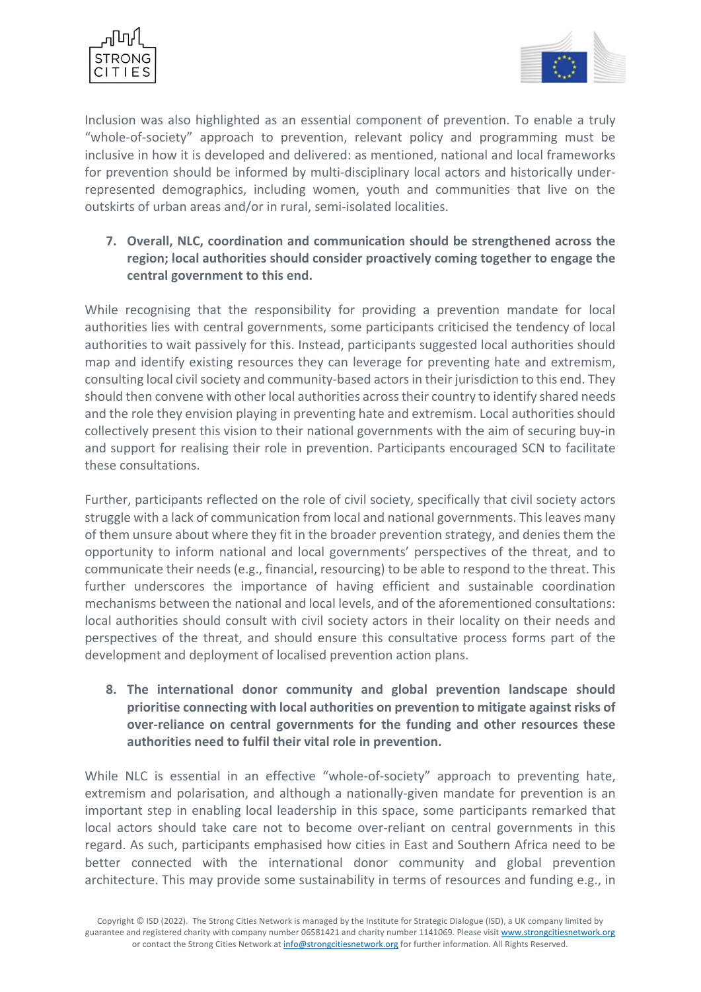



Inclusion was also highlighted as an essential component of prevention. To enable a truly "whole-of-society" approach to prevention, relevant policy and programming must be inclusive in how it is developed and delivered: as mentioned, national and local frameworks for prevention should be informed by multi-disciplinary local actors and historically underrepresented demographics, including women, youth and communities that live on the outskirts of urban areas and/or in rural, semi-isolated localities.

# **7. Overall, NLC, coordination and communication should be strengthened across the region; local authorities should consider proactively coming together to engage the central government to this end.**

While recognising that the responsibility for providing a prevention mandate for local authorities lies with central governments, some participants criticised the tendency of local authorities to wait passively for this. Instead, participants suggested local authorities should map and identify existing resources they can leverage for preventing hate and extremism, consulting local civil society and community-based actors in their jurisdiction to this end. They should then convene with other local authorities across their country to identify shared needs and the role they envision playing in preventing hate and extremism. Local authorities should collectively present this vision to their national governments with the aim of securing buy-in and support for realising their role in prevention. Participants encouraged SCN to facilitate these consultations.

Further, participants reflected on the role of civil society, specifically that civil society actors struggle with a lack of communication from local and national governments. This leaves many of them unsure about where they fit in the broader prevention strategy, and denies them the opportunity to inform national and local governments' perspectives of the threat, and to communicate their needs (e.g., financial, resourcing) to be able to respond to the threat. This further underscores the importance of having efficient and sustainable coordination mechanisms between the national and local levels, and of the aforementioned consultations: local authorities should consult with civil society actors in their locality on their needs and perspectives of the threat, and should ensure this consultative process forms part of the development and deployment of localised prevention action plans.

**8. The international donor community and global prevention landscape should prioritise connecting with local authorities on prevention to mitigate against risks of over-reliance on central governments for the funding and other resources these authorities need to fulfil their vital role in prevention.** 

While NLC is essential in an effective "whole-of-society" approach to preventing hate, extremism and polarisation, and although a nationally-given mandate for prevention is an important step in enabling local leadership in this space, some participants remarked that local actors should take care not to become over-reliant on central governments in this regard. As such, participants emphasised how cities in East and Southern Africa need to be better connected with the international donor community and global prevention architecture. This may provide some sustainability in terms of resources and funding e.g., in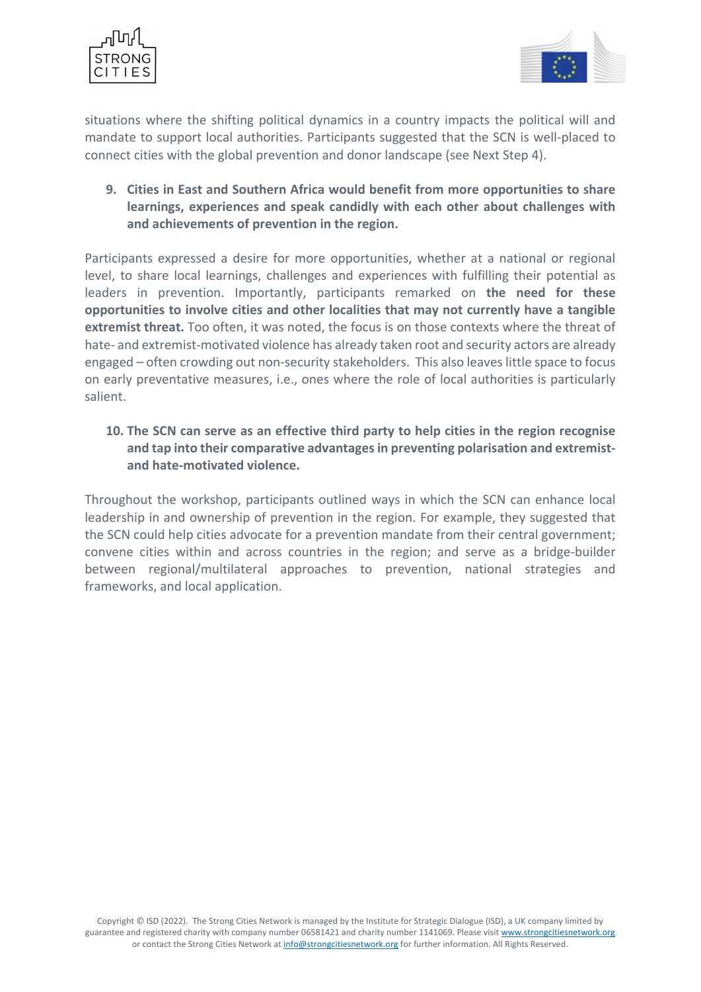



situations where the shifting political dynamics in a country impacts the political will and mandate to support local authorities. Participants suggested that the SCN is well-placed to connect cities with the global prevention and donor landscape (see Next Step 4).

**9. Cities in East and Southern Africa would benefit from more opportunities to share learnings, experiences and speak candidly with each other about challenges with and achievements of prevention in the region.** 

Participants expressed a desire for more opportunities, whether at a national or regional level, to share local learnings, challenges and experiences with fulfilling their potential as leaders in prevention. Importantly, participants remarked on **the need for these opportunities to involve cities and other localities that may not currently have a tangible extremist threat.** Too often, it was noted, the focus is on those contexts where the threat of hate- and extremist-motivated violence has already taken root and security actors are already engaged – often crowding out non-security stakeholders. This also leaves little space to focus on early preventative measures, i.e., ones where the role of local authorities is particularly salient.

**10. The SCN can serve as an effective third party to help cities in the region recognise and tap into their comparative advantages in preventing polarisation and extremistand hate-motivated violence.**

Throughout the workshop, participants outlined ways in which the SCN can enhance local leadership in and ownership of prevention in the region. For example, they suggested that the SCN could help cities advocate for a prevention mandate from their central government; convene cities within and across countries in the region; and serve as a bridge-builder between regional/multilateral approaches to prevention, national strategies and frameworks, and local application.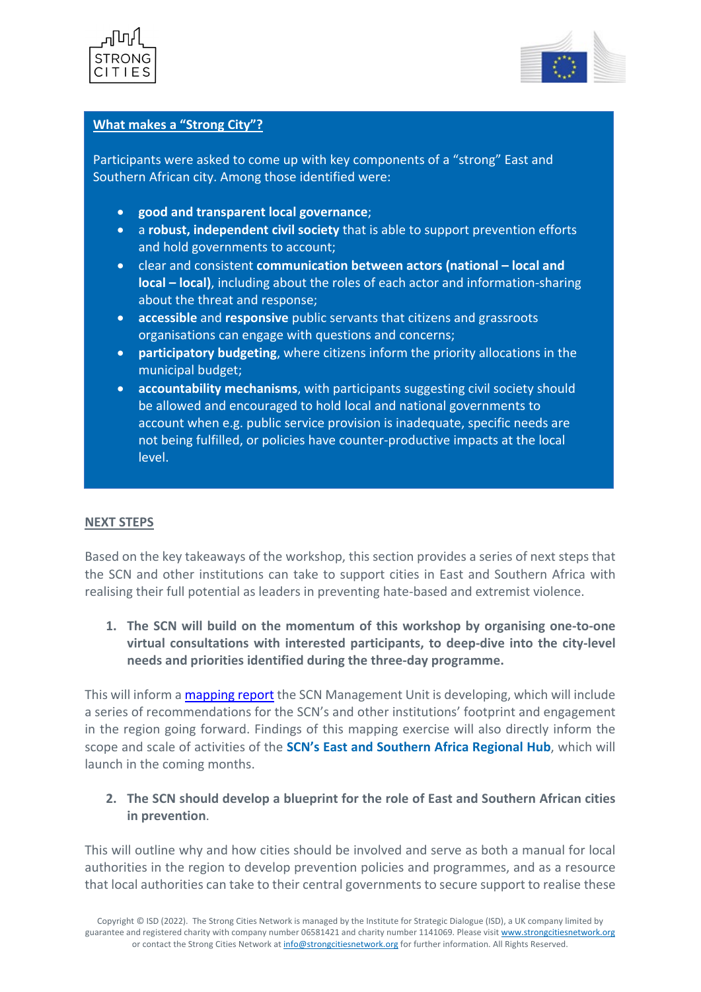



### **What makes a "Strong City"?**

Participants were asked to come up with key components of a "strong" East and Southern African city. Among those identified were:

- **good and transparent local governance**;
- a **robust, independent civil society** that is able to support prevention efforts and hold governments to account;
- clear and consistent **communication between actors (national local and local – local)**, including about the roles of each actor and information-sharing about the threat and response;
- **accessible** and **responsive** public servants that citizens and grassroots organisations can engage with questions and concerns;
- **participatory budgeting**, where citizens inform the priority allocations in the municipal budget;
- **accountability mechanisms**, with participants suggesting civil society should be allowed and encouraged to hold local and national governments to account when e.g. public service provision is inadequate, specific needs are not being fulfilled, or policies have counter-productive impacts at the local level.

### **NEXT STEPS**

Based on the key takeaways of the workshop, this section provides a series of next steps that the SCN and other institutions can take to support cities in East and Southern Africa with realising their full potential as leaders in preventing hate-based and extremist violence.

**1. The SCN will build on the momentum of this workshop by organising one-to-one virtual consultations with interested participants, to deep-dive into the city-level needs and priorities identified during the three-day programme.** 

This will inform a [mapping report](https://strongcitiesnetwork.org/en/project-launch-mapping-city-level-p-cve-needs-and-priorities-across-the-african-continent/) the SCN Management Unit is developing, which will include a series of recommendations for the SCN's and other institutions' footprint and engagement in the region going forward. Findings of this mapping exercise will also directly inform the scope and scale of activities of the **SCN's East and Southern Africa Regional Hub**, which will launch in the coming months.

# **2. The SCN should develop a blueprint for the role of East and Southern African cities in prevention**.

This will outline why and how cities should be involved and serve as both a manual for local authorities in the region to develop prevention policies and programmes, and as a resource that local authorities can take to their central governments to secure support to realise these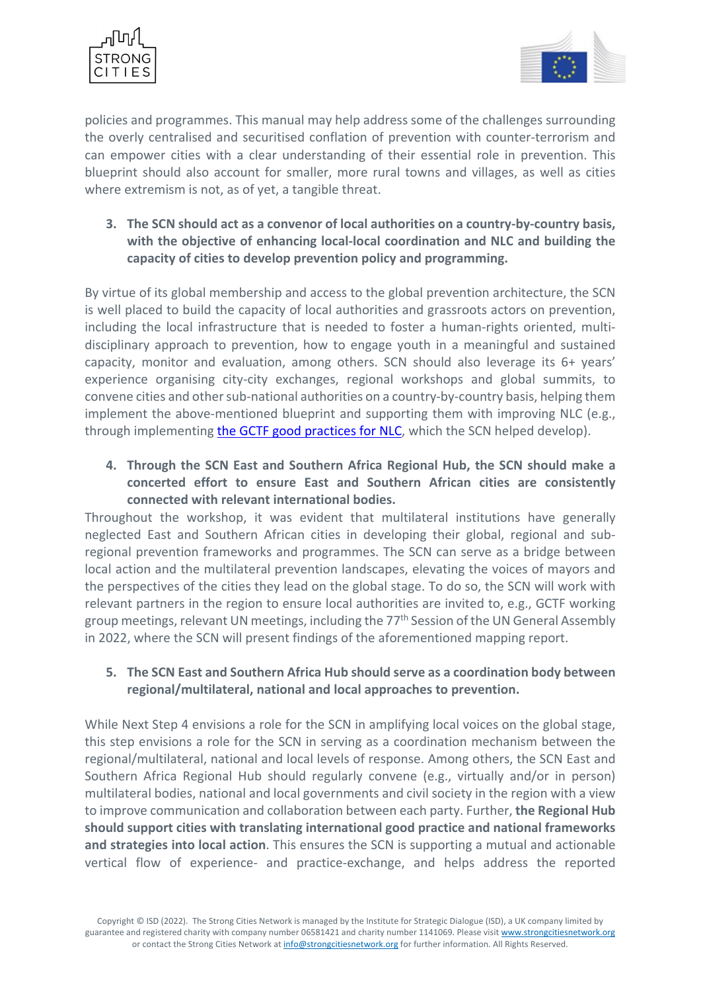



policies and programmes. This manual may help address some of the challenges surrounding the overly centralised and securitised conflation of prevention with counter-terrorism and can empower cities with a clear understanding of their essential role in prevention. This blueprint should also account for smaller, more rural towns and villages, as well as cities where extremism is not, as of yet, a tangible threat.

**3. The SCN should act as a convenor of local authorities on a country-by-country basis, with the objective of enhancing local-local coordination and NLC and building the capacity of cities to develop prevention policy and programming.**

By virtue of its global membership and access to the global prevention architecture, the SCN is well placed to build the capacity of local authorities and grassroots actors on prevention, including the local infrastructure that is needed to foster a human-rights oriented, multidisciplinary approach to prevention, how to engage youth in a meaningful and sustained capacity, monitor and evaluation, among others. SCN should also leverage its 6+ years' experience organising city-city exchanges, regional workshops and global summits, to convene cities and other sub-national authorities on a country-by-country basis, helping them implement the above-mentioned blueprint and supporting them with improving NLC (e.g., through implementing [the GCTF good practices for NLC,](https://www.thegctf.org/Portals/1/Documents/Framework%20Documents/2020/GCTF%20Memorandum%20on%20Good%20Practices%20on%20Strengthening%20NLC%20in%20PCVE.pdf?ver=2020-09-29-100315-357) which the SCN helped develop).

**4. Through the SCN East and Southern Africa Regional Hub, the SCN should make a concerted effort to ensure East and Southern African cities are consistently connected with relevant international bodies.** 

Throughout the workshop, it was evident that multilateral institutions have generally neglected East and Southern African cities in developing their global, regional and subregional prevention frameworks and programmes. The SCN can serve as a bridge between local action and the multilateral prevention landscapes, elevating the voices of mayors and the perspectives of the cities they lead on the global stage. To do so, the SCN will work with relevant partners in the region to ensure local authorities are invited to, e.g., GCTF working group meetings, relevant UN meetings, including the 77<sup>th</sup> Session of the UN General Assembly in 2022, where the SCN will present findings of the aforementioned mapping report.

# **5. The SCN East and Southern Africa Hub should serve as a coordination body between regional/multilateral, national and local approaches to prevention.**

While Next Step 4 envisions a role for the SCN in amplifying local voices on the global stage, this step envisions a role for the SCN in serving as a coordination mechanism between the regional/multilateral, national and local levels of response. Among others, the SCN East and Southern Africa Regional Hub should regularly convene (e.g., virtually and/or in person) multilateral bodies, national and local governments and civil society in the region with a view to improve communication and collaboration between each party. Further, **the Regional Hub should support cities with translating international good practice and national frameworks and strategies into local action**. This ensures the SCN is supporting a mutual and actionable vertical flow of experience- and practice-exchange, and helps address the reported